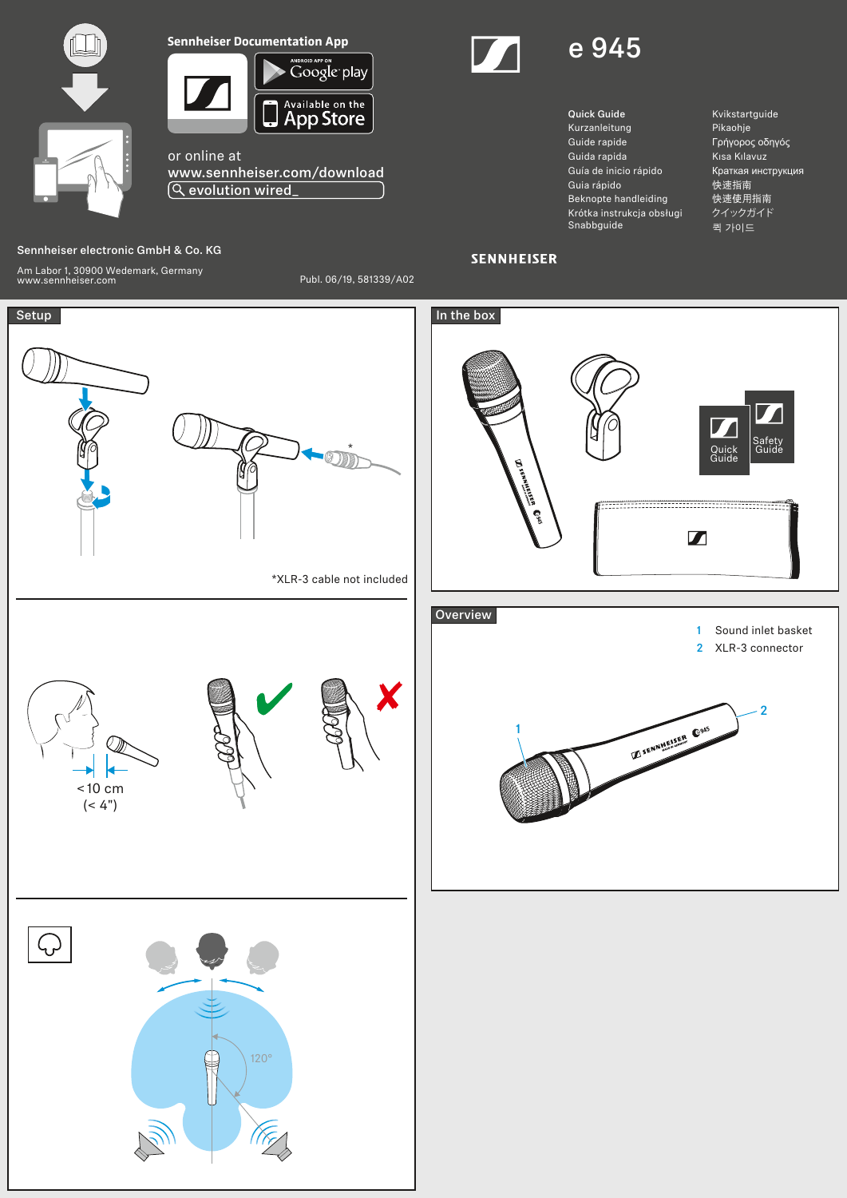



Available on the App Store

or online at www.sennheiser.com/download evolution wired\_

## Sennheiser electronic GmbH & Co. KG

Am Labor 1, 30900 Wedemark, Germany www.sennheiser.com Publ. 06/19, 581339/A02





- Quick Guide Kurzanleitung Guide rapide Guida rapida Guía de inicio rápido Guia rápido Beknopte handleiding Krótka instrukcja obsługi Snabbguide
- Kvikstartguide Pikaohje Γρήγορος οδηγός Kısa Kılavuz Краткая инструкция 快速指南 快速使用指南 クイックガイド 퀵 가이드

## **SENNHEISER**